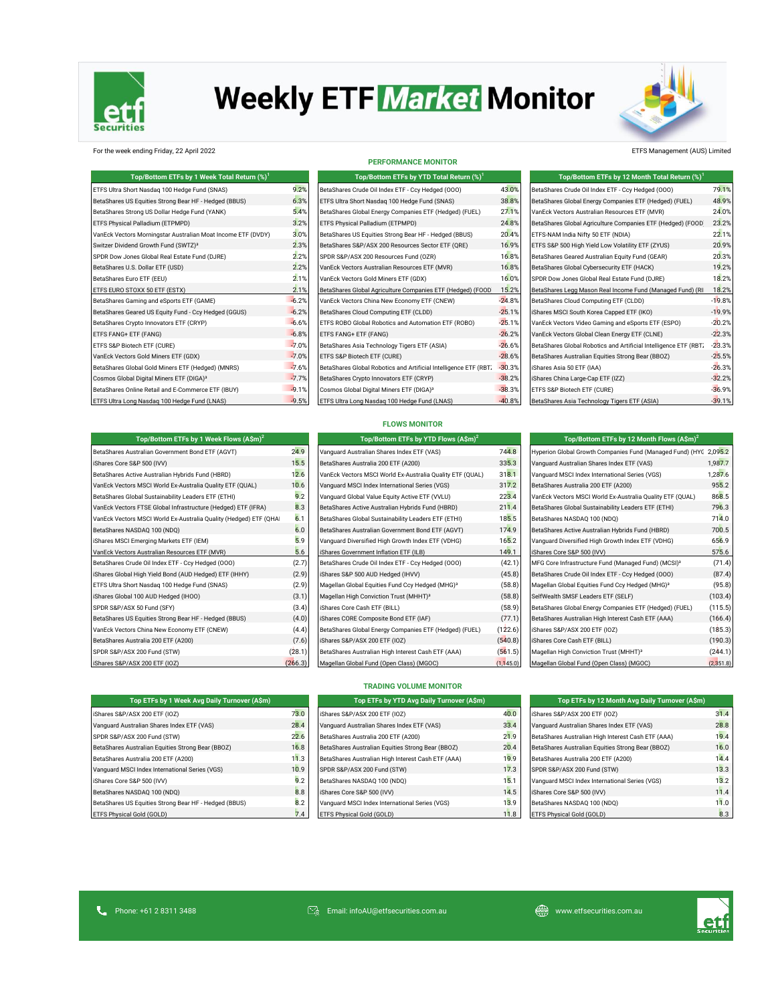

# **Weekly ETF Market Monitor**



For the week ending Friday, 22 April 2022 ETFS Management (AUS) Limited

| Top/Bottom ETFs by 1 Week Total Return (%) <sup>1</sup>      |         | Top/Bottom ETFs by YTD Total Return (%) <sup>1</sup>             |          | Top/Bottom ETFs by 12 Month Total Return (%) <sup>1</sup>        |          |
|--------------------------------------------------------------|---------|------------------------------------------------------------------|----------|------------------------------------------------------------------|----------|
| ETFS Ultra Short Nasdaq 100 Hedge Fund (SNAS)                | 9.2%    | BetaShares Crude Oil Index ETF - Ccy Hedged (000)                | 43.0%    | BetaShares Crude Oil Index ETF - Ccy Hedged (000)                | 79.1%    |
| BetaShares US Equities Strong Bear HF - Hedged (BBUS)        | 6.3%    | ETFS Ultra Short Nasdaq 100 Hedge Fund (SNAS)                    | 38.8%    | BetaShares Global Energy Companies ETF (Hedged) (FUEL)           | 48.9%    |
| BetaShares Strong US Dollar Hedge Fund (YANK)                | 5.4%    | BetaShares Global Energy Companies ETF (Hedged) (FUEL)           | 27.1%    | VanEck Vectors Australian Resources ETF (MVR)                    | 24.0%    |
| ETFS Physical Palladium (ETPMPD)                             | 3.2%    | ETFS Physical Palladium (ETPMPD)                                 | 24.8%    | BetaShares Global Agriculture Companies ETF (Hedged) (FOOD       | 23.2%    |
| VanEck Vectors Morningstar Australian Moat Income ETF (DVDY) | 3.0%    | BetaShares US Equities Strong Bear HF - Hedged (BBUS)            | 20.4%    | ETFS-NAM India Nifty 50 ETF (NDIA)                               | 22.1%    |
| Switzer Dividend Growth Fund (SWTZ) <sup>3</sup>             | 2.3%    | BetaShares S&P/ASX 200 Resources Sector ETF (QRE)                | 16.9%    | ETFS S&P 500 High Yield Low Volatility ETF (ZYUS)                | 20.9%    |
| SPDR Dow Jones Global Real Estate Fund (DJRE)                | 2.2%    | SPDR S&P/ASX 200 Resources Fund (OZR)                            | 16.8%    | BetaShares Geared Australian Equity Fund (GEAR)                  | 20.3%    |
| BetaShares U.S. Dollar ETF (USD)                             | 2.2%    | VanEck Vectors Australian Resources ETF (MVR)                    | 16.8%    | BetaShares Global Cybersecurity ETF (HACK)                       | 19.2%    |
| BetaShares Euro ETF (EEU)                                    | 2.1%    | VanEck Vectors Gold Miners ETF (GDX)                             | 16.0%    | SPDR Dow Jones Global Real Estate Fund (DJRE)                    | 18.2%    |
| ETFS EURO STOXX 50 ETF (ESTX)                                | 2.1%    | BetaShares Global Agriculture Companies ETF (Hedged) (FOOD       | 15.2%    | BetaShares Legg Mason Real Income Fund (Managed Fund) (RI        | 18.2%    |
| BetaShares Gaming and eSports ETF (GAME)                     | $-6.2%$ | VanEck Vectors China New Economy ETF (CNEW)                      | $-24.8%$ | BetaShares Cloud Computing ETF (CLDD)                            | $-19.8%$ |
| BetaShares Geared US Equity Fund - Ccy Hedged (GGUS)         | $-6.2%$ | BetaShares Cloud Computing ETF (CLDD)                            | $-25.1%$ | iShares MSCI South Korea Capped ETF (IKO)                        | $-19.9%$ |
| BetaShares Crypto Innovators ETF (CRYP)                      | $-6.6%$ | ETFS ROBO Global Robotics and Automation ETF (ROBO)              | $-25.1%$ | VanEck Vectors Video Gaming and eSports ETF (ESPO)               | $-20.2%$ |
| ETFS FANG+ ETF (FANG)                                        | $-6.8%$ | ETFS FANG+ ETF (FANG)                                            | $-26.2%$ | VanEck Vectors Global Clean Energy ETF (CLNE)                    | $-22.3%$ |
| ETFS S&P Biotech ETF (CURE)                                  | $-7.0%$ | BetaShares Asia Technology Tigers ETF (ASIA)                     | $-26.6%$ | BetaShares Global Robotics and Artificial Intelligence ETF (RBT) | $-23.3%$ |
| VanEck Vectors Gold Miners ETF (GDX)                         | $-7.0%$ | ETFS S&P Biotech ETF (CURE)                                      | $-28.6%$ | BetaShares Australian Equities Strong Bear (BBOZ)                | $-25.5%$ |
| BetaShares Global Gold Miners ETF (Hedged) (MNRS)            | $-7.6%$ | BetaShares Global Robotics and Artificial Intelligence ETF (RBT. | $-30.3%$ | iShares Asia 50 ETF (IAA)                                        | $-26.3%$ |
| Cosmos Global Digital Miners ETF (DIGA) <sup>3</sup>         | $-7.7%$ | BetaShares Crypto Innovators ETF (CRYP)                          | $-38.2%$ | iShares China Large-Cap ETF (IZZ)                                | $-32.2%$ |
| BetaShares Online Retail and E-Commerce ETF (IBUY)           | $-9.1%$ | Cosmos Global Digital Miners ETF (DIGA) <sup>3</sup>             | $-38.3%$ | ETFS S&P Biotech ETF (CURE)                                      | $-36.9%$ |
| ETFS Ultra Long Nasdaq 100 Hedge Fund (LNAS)                 | $-9.5%$ | ETFS Ultra Long Nasdaq 100 Hedge Fund (LNAS)                     | $-40.8%$ | BetaShares Asia Technology Tigers ETF (ASIA)                     | $-39.1%$ |

| <b>PERFORMANCE MONITOR</b>                                       |                |
|------------------------------------------------------------------|----------------|
| Top/Bottom ETFs by YTD Total Return (%) <sup>1</sup>             |                |
| BetaShares Crude Oil Index ETF - Ccy Hedged (000)                | $\overline{4}$ |
| ETFS Ultra Short Nasdaq 100 Hedge Fund (SNAS)                    | 3i             |
| BetaShares Global Energy Companies ETF (Hedged) (FUEL)           | $\mathcal{D}$  |
| ETFS Physical Palladium (ETPMPD)                                 | 2 <sub>1</sub> |
| BetaShares US Equities Strong Bear HF - Hedged (BBUS)            | $\overline{2}$ |
| BetaShares S&P/ASX 200 Resources Sector ETF (QRE)                | 1(             |
| SPDR S&P/ASX 200 Resources Fund (OZR)                            | 1 <sub>1</sub> |
| VanEck Vectors Australian Resources ETF (MVR)                    | 1(             |
| VanEck Vectors Gold Miners ETF (GDX)                             | 1 <sub>1</sub> |
| BetaShares Global Agriculture Companies ETF (Hedged) (FOOD       | 1!             |
| VanEck Vectors China New Economy ETF (CNEW)                      | $-2i$          |
| BetaShares Cloud Computing ETF (CLDD)                            | $-2!$          |
| ETFS ROBO Global Robotics and Automation ETF (ROBO)              | $-2!$          |
| ETFS FANG+ ETF (FANG)                                            | $-21$          |
| BetaShares Asia Technology Tigers ETF (ASIA)                     | $-21$          |
| ETFS S&P Biotech ETF (CURE)                                      | $-21$          |
| BetaShares Global Robotics and Artificial Intelligence ETF (RBT) | $-3($          |
| BetaShares Crypto Innovators ETF (CRYP)                          | $-3i$          |
| Cosmos Global Digital Miners ETF (DIGA) <sup>3</sup>             | $-31$          |
| ETFS Ultra Long Nasdaq 100 Hedge Fund (LNAS)                     | $-40$          |

| Top/Bottom ETFs by 12 Month Total Return (%) <sup>1</sup>        |          |
|------------------------------------------------------------------|----------|
| BetaShares Crude Oil Index ETF - Ccy Hedged (000)                | 79.1%    |
| BetaShares Global Energy Companies ETF (Hedged) (FUEL)           | 48.9%    |
| VanEck Vectors Australian Resources ETF (MVR)                    | 24.0%    |
| BetaShares Global Agriculture Companies ETF (Hedged) (FOOD       | 23.2%    |
| ETFS-NAM India Nifty 50 ETF (NDIA)                               | 22.1%    |
| ETFS S&P 500 High Yield Low Volatility ETF (ZYUS)                | 20.9%    |
| BetaShares Geared Australian Equity Fund (GEAR)                  | 20.3%    |
| BetaShares Global Cybersecurity ETF (HACK)                       | 19.2%    |
| SPDR Dow Jones Global Real Estate Fund (DJRE)                    | 18.2%    |
| BetaShares Legg Mason Real Income Fund (Managed Fund) (RI        | 18.2%    |
| BetaShares Cloud Computing ETF (CLDD)                            | $-19.8%$ |
| iShares MSCI South Korea Capped ETF (IKO)                        | $-19.9%$ |
| VanEck Vectors Video Gaming and eSports ETF (ESPO)               | $-20.2%$ |
| VanEck Vectors Global Clean Energy ETF (CLNE)                    | $-22.3%$ |
| BetaShares Global Robotics and Artificial Intelligence ETF (RBT) | $-23.3%$ |
| BetaShares Australian Equities Strong Bear (BBOZ)                | $-25.5%$ |
| iShares Asia 50 ETF (IAA)                                        | $-26.3%$ |
| iShares China Large-Cap ETF (IZZ)                                | $-32.2%$ |
| ETFS S&P Biotech ETF (CURE)                                      | $-36.9%$ |
| BetaShares Asia Technology Tigers ETF (ASIA)                     | $-39.1%$ |

| Top/Bottom ETFs by 1 Week Flows (A\$m) <sup>2</sup>               | Top/Bottom ETFs by YTD Flows $(A\sin)^2$ |                                                             | Top/Bottom ETFs by 12 Month Flows $(A\$ imsh})^2 |                                                                   |           |
|-------------------------------------------------------------------|------------------------------------------|-------------------------------------------------------------|--------------------------------------------------|-------------------------------------------------------------------|-----------|
| BetaShares Australian Government Bond ETF (AGVT)                  | 24.9                                     | Vanguard Australian Shares Index ETF (VAS)                  | 744.8                                            | Hyperion Global Growth Companies Fund (Managed Fund) (HYC 2,095.2 |           |
| iShares Core S&P 500 (IVV)                                        | 15.5                                     | BetaShares Australia 200 ETF (A200)                         | 335.3                                            | Vanquard Australian Shares Index ETF (VAS)                        | 1,987.7   |
| BetaShares Active Australian Hybrids Fund (HBRD)                  | 12.6                                     | VanEck Vectors MSCI World Ex-Australia Quality ETF (QUAL)   | 318.1                                            | Vanguard MSCI Index International Series (VGS)                    | 1,287.6   |
| VanEck Vectors MSCI World Ex-Australia Quality ETF (QUAL)         | 10.6                                     | Vanguard MSCI Index International Series (VGS)              | 317.2                                            | BetaShares Australia 200 ETF (A200)                               | 955.2     |
| BetaShares Global Sustainability Leaders ETF (ETHI)               | 9.2                                      | Vanquard Global Value Equity Active ETF (VVLU)              | 223.4                                            | VanEck Vectors MSCI World Ex-Australia Quality ETF (QUAL)         | 868.5     |
| VanEck Vectors FTSE Global Infrastructure (Hedged) ETF (IFRA)     | 8.3                                      | BetaShares Active Australian Hybrids Fund (HBRD)            | 211.4                                            | BetaShares Global Sustainability Leaders ETF (ETHI)               | 796.3     |
| VanEck Vectors MSCI World Ex-Australia Quality (Hedged) ETF (QHAI | 6.1                                      | BetaShares Global Sustainability Leaders ETF (ETHI)         | 185.5                                            | BetaShares NASDAQ 100 (NDQ)                                       | 714.0     |
| BetaShares NASDAQ 100 (NDQ)                                       | 6.0                                      | BetaShares Australian Government Bond ETF (AGVT)            | 174.9                                            | BetaShares Active Australian Hybrids Fund (HBRD)                  | 700.5     |
| iShares MSCI Emerging Markets ETF (IEM)                           | 5.9                                      | Vanguard Diversified High Growth Index ETF (VDHG)           | 165.2                                            | Vanguard Diversified High Growth Index ETF (VDHG)                 | 656.9     |
| VanEck Vectors Australian Resources ETF (MVR)                     | 5.6                                      | IShares Government Inflation ETF (ILB)                      | 149.1                                            | iShares Core S&P 500 (IVV)                                        | 575.6     |
| BetaShares Crude Oil Index ETF - Ccy Hedged (000)                 | (2.7)                                    | BetaShares Crude Oil Index ETF - Ccy Hedged (000)           | (42.1)                                           | MFG Core Infrastructure Fund (Managed Fund) (MCSI) <sup>3</sup>   | (71.4)    |
| iShares Global High Yield Bond (AUD Hedged) ETF (IHHY)            | (2.9)                                    | iShares S&P 500 AUD Hedged (IHVV)                           | (45.8)                                           | BetaShares Crude Oil Index ETF - Ccy Hedged (000)                 | (87.4)    |
| ETFS Ultra Short Nasdaq 100 Hedge Fund (SNAS)                     | (2.9)                                    | Magellan Global Equities Fund Ccy Hedged (MHG) <sup>3</sup> | (58.8)                                           | Magellan Global Equities Fund Ccy Hedged (MHG) <sup>3</sup>       | (95.8)    |
| iShares Global 100 AUD Hedged (IHOO)                              | (3.1)                                    | Magellan High Conviction Trust (MHHT) <sup>3</sup>          | (58.8)                                           | SelfWealth SMSF Leaders ETF (SELF)                                | (103.4)   |
| SPDR S&P/ASX 50 Fund (SFY)                                        | (3.4)                                    | iShares Core Cash ETF (BILL)                                | (58.9)                                           | BetaShares Global Energy Companies ETF (Hedged) (FUEL)            | (115.5)   |
| BetaShares US Equities Strong Bear HF - Hedged (BBUS)             | (4.0)                                    | iShares CORE Composite Bond ETF (IAF)                       | (77.1)                                           | BetaShares Australian High Interest Cash ETF (AAA)                | (166.4)   |
| VanEck Vectors China New Economy ETF (CNEW)                       | (4.4)                                    | BetaShares Global Energy Companies ETF (Hedged) (FUEL)      | (122.6)                                          | iShares S&P/ASX 200 ETF (IOZ)                                     | (185.3)   |
| BetaShares Australia 200 ETF (A200)                               | (7.6)                                    | iShares S&P/ASX 200 ETF (IOZ)                               | (540.8)                                          | iShares Core Cash ETF (BILL)                                      | (190.3)   |
| SPDR S&P/ASX 200 Fund (STW)                                       | (28.1)                                   | BetaShares Australian High Interest Cash ETF (AAA)          | (561.5)                                          | Magellan High Conviction Trust (MHHT) <sup>3</sup>                | (244.1)   |
| iShares S&P/ASX 200 ETF (IOZ)                                     | (266.3)                                  | Magellan Global Fund (Open Class) (MGOC)                    | (1, 145.0)                                       | Magellan Global Fund (Open Class) (MGOC)                          | (2,351.8) |

| <b>FLOWS MONITOR</b> |  |  |
|----------------------|--|--|
|                      |  |  |

|                | Top/Bottom ETFs by YTD Flows (A\$m) <sup>2</sup>            |            | Top/Bottom ETFs by 12 Month Flows $(A\sin^2)$                     |           |
|----------------|-------------------------------------------------------------|------------|-------------------------------------------------------------------|-----------|
| 9              | Vanquard Australian Shares Index ETF (VAS)                  | 744.8      | Hyperion Global Growth Companies Fund (Managed Fund) (HYC 2,095.2 |           |
| 5              | BetaShares Australia 200 ETF (A200)                         | 335.3      | Vanquard Australian Shares Index ETF (VAS)                        | 1,987.7   |
| 6              | VanEck Vectors MSCI World Ex-Australia Quality ETF (QUAL)   | 318.1      | Vanquard MSCI Index International Series (VGS)                    | 1,287.6   |
| 6              | Vanguard MSCI Index International Series (VGS)              | 317.2      | BetaShares Australia 200 ETF (A200)                               | 955.2     |
| $\overline{2}$ | Vanquard Global Value Equity Active ETF (VVLU)              | 223.4      | VanEck Vectors MSCI World Ex-Australia Quality ETF (QUAL)         | 868.5     |
| 3              | BetaShares Active Australian Hybrids Fund (HBRD)            | 211.4      | BetaShares Global Sustainability Leaders ETF (ETHI)               | 796.3     |
| 1              | BetaShares Global Sustainability Leaders ETF (ETHI)         | 185.5      | BetaShares NASDAQ 100 (NDQ)                                       | 714.0     |
| 0              | BetaShares Australian Government Bond ETF (AGVT)            | 174.9      | BetaShares Active Australian Hybrids Fund (HBRD)                  | 700.5     |
| 9              | Vanguard Diversified High Growth Index ETF (VDHG)           | 165.2      | Vanguard Diversified High Growth Index ETF (VDHG)                 | 656.9     |
| 6              | iShares Government Inflation ETF (ILB)                      | 149.1      | iShares Core S&P 500 (IVV)                                        | 575.6     |
| 7)             | BetaShares Crude Oil Index ETF - Ccy Hedged (000)           | (42.1)     | MFG Core Infrastructure Fund (Managed Fund) (MCSI) <sup>3</sup>   | (71.4)    |
| 9)             | iShares S&P 500 AUD Hedged (IHVV)                           | (45.8)     | BetaShares Crude Oil Index ETF - Ccy Hedged (000)                 | (87.4)    |
| 9)             | Magellan Global Equities Fund Ccy Hedged (MHG) <sup>3</sup> | (58.8)     | Magellan Global Equities Fund Ccy Hedged (MHG) <sup>3</sup>       | (95.8)    |
| 1)             | Magellan High Conviction Trust (MHHT) <sup>3</sup>          | (58.8)     | SelfWealth SMSF Leaders ETF (SELF)                                | (103.4)   |
| 4)             | iShares Core Cash ETF (BILL)                                | (58.9)     | BetaShares Global Energy Companies ETF (Hedged) (FUEL)            | (115.5)   |
| 0)             | iShares CORE Composite Bond ETF (IAF)                       | (77.1)     | BetaShares Australian High Interest Cash ETF (AAA)                | (166.4)   |
| 4)             | BetaShares Global Energy Companies ETF (Hedged) (FUEL)      | (122.6)    | iShares S&P/ASX 200 ETF (IOZ)                                     | (185.3)   |
| 6)             | iShares S&P/ASX 200 ETF (IOZ)                               | (540.8)    | iShares Core Cash ETF (BILL)                                      | (190.3)   |
| 1)             | BetaShares Australian High Interest Cash ETF (AAA)          | (561.5)    | Magellan High Conviction Trust (MHHT) <sup>3</sup>                | (244.1)   |
| 3)             | Magellan Global Fund (Open Class) (MGOC)                    | (1, 145.0) | Magellan Global Fund (Open Class) (MGOC)                          | (2,351.8) |

| Top/Bottom ETFs by 12 Month Flows (A\$m) <sup>2</sup>             |         |
|-------------------------------------------------------------------|---------|
| Hyperion Global Growth Companies Fund (Managed Fund) (HYC 2,095.2 |         |
| Vanquard Australian Shares Index ETF (VAS)                        | 1,987.7 |
| Vanquard MSCI Index International Series (VGS)                    | 1,287.6 |
| BetaShares Australia 200 ETF (A200)                               | 955.2   |
| VanEck Vectors MSCI World Ex-Australia Quality ETF (QUAL)         | 868.5   |
| BetaShares Global Sustainability Leaders ETF (ETHI)               | 796.3   |
| BetaShares NASDAQ 100 (NDQ)                                       | 714.0   |
| BetaShares Active Australian Hybrids Fund (HBRD)                  | 700.5   |
| Vanquard Diversified High Growth Index ETF (VDHG)                 | 656.9   |
| iShares Core S&P 500 (IVV)                                        | 575.6   |
| MFG Core Infrastructure Fund (Managed Fund) (MCSI) <sup>3</sup>   | (71.4)  |
| BetaShares Crude Oil Index ETF - Ccy Hedged (000)                 | (87.4)  |
| Magellan Global Equities Fund Ccy Hedged (MHG) <sup>3</sup>       | (95.8)  |
| SelfWealth SMSF Leaders ETF (SELF)                                | (103.4) |
| BetaShares Global Energy Companies ETF (Hedged) (FUEL)            | (115.5) |
| BetaShares Australian High Interest Cash ETF (AAA)                | (166.4) |
| iShares S&P/ASX 200 ETF (IOZ)                                     | (185.3) |
| iShares Core Cash ETF (BILL)                                      | (190.3) |
| Magellan High Conviction Trust (MHHT) <sup>3</sup>                | (244.1) |
|                                                                   |         |

| Top ETFs by 1 Week Avg Daily Turnover (A\$m)          |                |
|-------------------------------------------------------|----------------|
| iShares S&P/ASX 200 ETF (IOZ)                         | 73             |
| Vanquard Australian Shares Index ETF (VAS)            | 28             |
| SPDR S&P/ASX 200 Fund (STW)                           | $2^{\circ}$    |
| BetaShares Australian Equities Strong Bear (BBOZ)     | 16             |
| BetaShares Australia 200 ETF (A200)                   | 11             |
| Vanquard MSCI Index International Series (VGS)        | 1 <sup>1</sup> |
| iShares Core S&P 500 (IVV)                            |                |
| BetaShares NASDAQ 100 (NDQ)                           |                |
| BetaShares US Equities Strong Bear HF - Hedged (BBUS) |                |
| ETFS Physical Gold (GOLD)                             |                |

|  |  | TRADING VOLUME MONITOR |
|--|--|------------------------|
|--|--|------------------------|

| Top ETFs by 1 Week Avg Daily Turnover (A\$m)          |      | Top ETFs by YTD Avg Daily Turnover (A\$m)          |      | Top ETFs by 12 Month Avg Daily Turnover (A\$m)     |      |
|-------------------------------------------------------|------|----------------------------------------------------|------|----------------------------------------------------|------|
| Shares S&P/ASX 200 ETF (IOZ)                          | 73.0 | iShares S&P/ASX 200 ETF (IOZ)                      | 40.0 | iShares S&P/ASX 200 ETF (IOZ)                      | 31.4 |
| Vanquard Australian Shares Index ETF (VAS)            | 28.4 | Vanquard Australian Shares Index ETF (VAS)         | 33.4 | Vanquard Australian Shares Index ETF (VAS)         | 28.8 |
| SPDR S&P/ASX 200 Fund (STW)                           | 22.6 | BetaShares Australia 200 ETF (A200)                | 21.9 | BetaShares Australian High Interest Cash ETF (AAA) | 19.4 |
| BetaShares Australian Equities Strong Bear (BBOZ)     | 16.8 | BetaShares Australian Equities Strong Bear (BBOZ)  | 20.4 | BetaShares Australian Equities Strong Bear (BBOZ)  | 16.0 |
| BetaShares Australia 200 ETF (A200)                   | 11.3 | BetaShares Australian High Interest Cash ETF (AAA) | 19.9 | BetaShares Australia 200 ETF (A200)                | 14.4 |
| Vanquard MSCI Index International Series (VGS)        | 10.9 | SPDR S&P/ASX 200 Fund (STW)                        | 17.3 | SPDR S&P/ASX 200 Fund (STW)                        | 13.3 |
| Shares Core S&P 500 (IVV)                             | 9.2  | BetaShares NASDAQ 100 (NDQ)                        | 15.  | Vanquard MSCI Index International Series (VGS)     | 13.2 |
| BetaShares NASDAO 100 (NDO)                           | 8.8  | iShares Core S&P 500 (IVV)                         | 14.5 | iShares Core S&P 500 (IVV)                         | 11.4 |
| BetaShares US Equities Strong Bear HF - Hedged (BBUS) | 8.2  | Vanquard MSCI Index International Series (VGS)     | 13.9 | BetaShares NASDAQ 100 (NDQ)                        | 11.0 |
| ETFS Physical Gold (GOLD)                             | 7.4  | ETFS Physical Gold (GOLD)                          | 11.8 | ETFS Physical Gold (GOLD)                          | 8.3  |